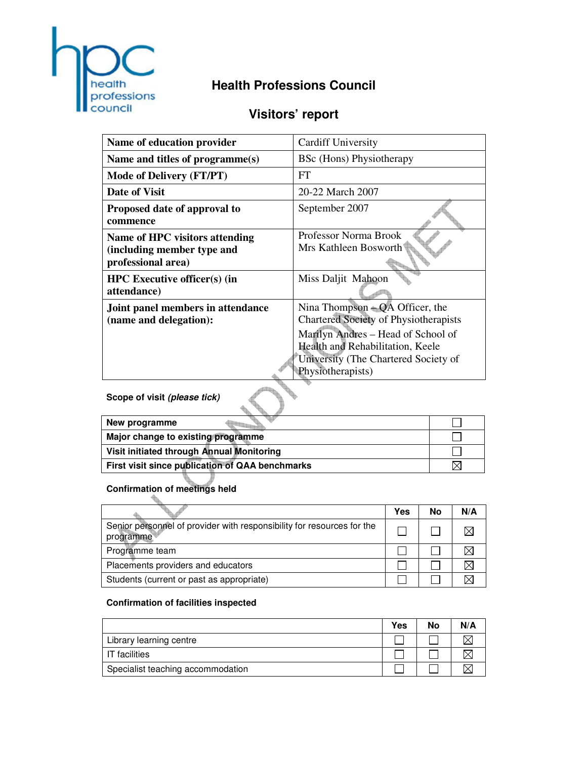

# **Health Professions Council**

# **Visitors' report**

| <b>Cardiff University</b>                                                                                                                                                                                         |
|-------------------------------------------------------------------------------------------------------------------------------------------------------------------------------------------------------------------|
| <b>BSc</b> (Hons) Physiotherapy                                                                                                                                                                                   |
| FT                                                                                                                                                                                                                |
| 20-22 March 2007                                                                                                                                                                                                  |
| September 2007                                                                                                                                                                                                    |
| Professor Norma Brook<br>Mrs Kathleen Bosworth                                                                                                                                                                    |
| Miss Daljit Mahoon                                                                                                                                                                                                |
| Nina Thompson $- QA$ Officer, the<br>Chartered Society of Physiotherapists<br>Marilyn Andres – Head of School of<br>Health and Rehabilitation, Keele<br>University (The Chartered Society of<br>Physiotherapists) |
|                                                                                                                                                                                                                   |

**Scope of visit (please tick)**

| New programme                                   |  |
|-------------------------------------------------|--|
| Major change to existing programme              |  |
| Visit initiated through Annual Monitoring       |  |
| First visit since publication of QAA benchmarks |  |

# **Confirmation of meetings held**

|                                                                                     | Yes | No | N/A |
|-------------------------------------------------------------------------------------|-----|----|-----|
| Senior personnel of provider with responsibility for resources for the<br>programme |     |    |     |
| Programme team                                                                      |     |    |     |
| Placements providers and educators                                                  |     |    |     |
| Students (current or past as appropriate)                                           |     |    |     |

# **Confirmation of facilities inspected**

|                                   | Yes | No | N/A |
|-----------------------------------|-----|----|-----|
| Library learning centre           |     |    |     |
| <b>IT</b> facilities              |     |    |     |
| Specialist teaching accommodation |     |    |     |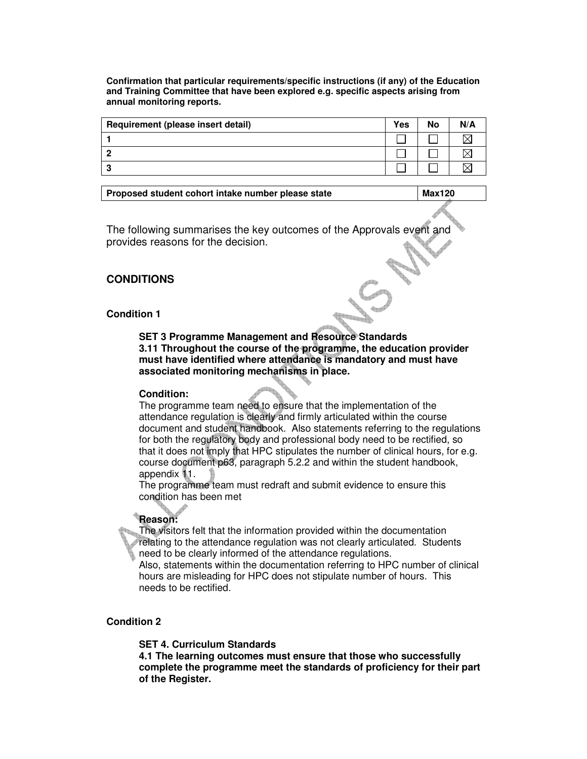**Confirmation that particular requirements/specific instructions (if any) of the Education and Training Committee that have been explored e.g. specific aspects arising from annual monitoring reports.** 

| Requirement (please insert detail) | Yes | No | N/A |
|------------------------------------|-----|----|-----|
|                                    |     |    |     |
|                                    |     |    |     |
| ×,                                 |     |    |     |

| Proposed student cohort intake number please state |  | <b>Max120</b> |
|----------------------------------------------------|--|---------------|
|----------------------------------------------------|--|---------------|

The following summarises the key outcomes of the Approvals event and provides reasons for the decision.

# **CONDITIONS**

#### **Condition 1**

**SET 3 Programme Management and Resource Standards 3.11 Throughout the course of the programme, the education provider must have identified where attendance is mandatory and must have associated monitoring mechanisms in place.** 

#### **Condition:**

The programme team need to ensure that the implementation of the attendance regulation is clearly and firmly articulated within the course document and student handbook. Also statements referring to the regulations for both the regulatory body and professional body need to be rectified, so that it does not imply that HPC stipulates the number of clinical hours, for e.g. course document p63, paragraph 5.2.2 and within the student handbook, appendix 11.

The programme team must redraft and submit evidence to ensure this condition has been met

# **Reason:**

The visitors felt that the information provided within the documentation relating to the attendance regulation was not clearly articulated. Students need to be clearly informed of the attendance regulations.

Also, statements within the documentation referring to HPC number of clinical hours are misleading for HPC does not stipulate number of hours. This needs to be rectified.

# **Condition 2**

**SET 4. Curriculum Standards** 

**4.1 The learning outcomes must ensure that those who successfully complete the programme meet the standards of proficiency for their part of the Register.**